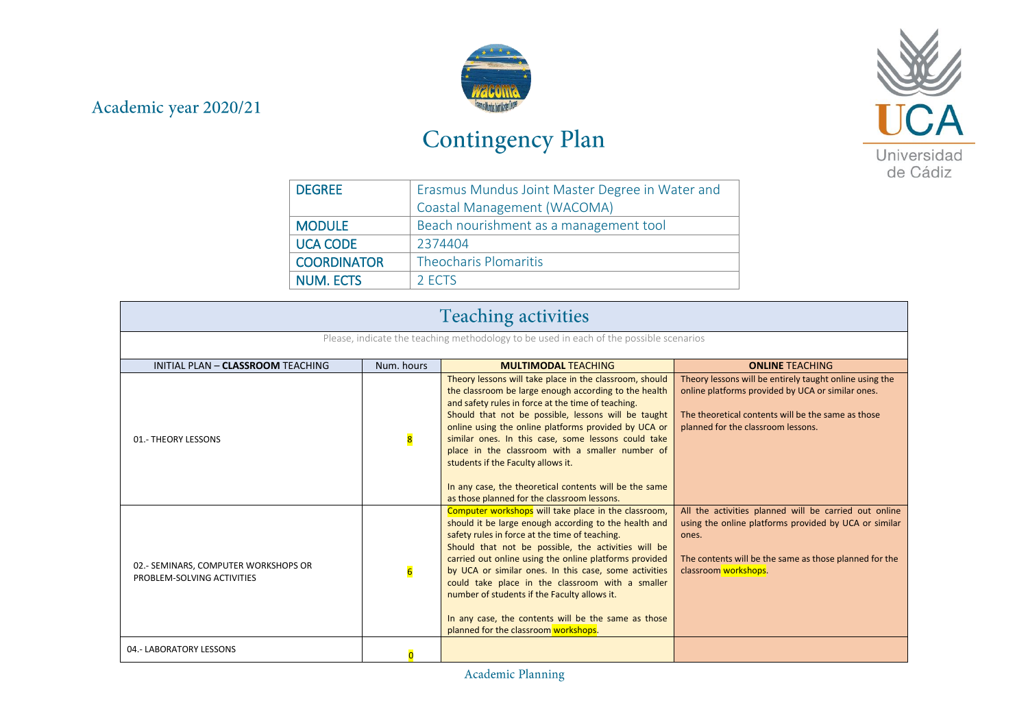## Academic year 2020/21



## Contingency Plan



| <b>DEGREE</b>      | Erasmus Mundus Joint Master Degree in Water and |
|--------------------|-------------------------------------------------|
|                    | Coastal Management (WACOMA)                     |
| <b>MODULE</b>      | Beach nourishment as a management tool          |
| <b>UCA CODE</b>    | 2374404                                         |
| <b>COORDINATOR</b> | <b>Theocharis Plomaritis</b>                    |
| <b>NUM. ECTS</b>   | 2 ECTS                                          |

| <b>Teaching activities</b>                                                             |                 |                                                                                                                                                                                                                                                                                                                                                                                                                                                                                                                                                |                                                                                                                                                                                                           |  |
|----------------------------------------------------------------------------------------|-----------------|------------------------------------------------------------------------------------------------------------------------------------------------------------------------------------------------------------------------------------------------------------------------------------------------------------------------------------------------------------------------------------------------------------------------------------------------------------------------------------------------------------------------------------------------|-----------------------------------------------------------------------------------------------------------------------------------------------------------------------------------------------------------|--|
| Please, indicate the teaching methodology to be used in each of the possible scenarios |                 |                                                                                                                                                                                                                                                                                                                                                                                                                                                                                                                                                |                                                                                                                                                                                                           |  |
| INITIAL PLAN - CLASSROOM TEACHING                                                      | Num. hours      | <b>MULTIMODAL TEACHING</b>                                                                                                                                                                                                                                                                                                                                                                                                                                                                                                                     | <b>ONLINE TEACHING</b>                                                                                                                                                                                    |  |
| 01.- THEORY LESSONS                                                                    | 8               | Theory lessons will take place in the classroom, should<br>the classroom be large enough according to the health<br>and safety rules in force at the time of teaching.<br>Should that not be possible, lessons will be taught<br>online using the online platforms provided by UCA or<br>similar ones. In this case, some lessons could take<br>place in the classroom with a smaller number of<br>students if the Faculty allows it.<br>In any case, the theoretical contents will be the same<br>as those planned for the classroom lessons. | Theory lessons will be entirely taught online using the<br>online platforms provided by UCA or similar ones.<br>The theoretical contents will be the same as those<br>planned for the classroom lessons.  |  |
| 02.- SEMINARS, COMPUTER WORKSHOPS OR<br>PROBLEM-SOLVING ACTIVITIES                     | $6\overline{6}$ | Computer workshops will take place in the classroom,<br>should it be large enough according to the health and<br>safety rules in force at the time of teaching.<br>Should that not be possible, the activities will be<br>carried out online using the online platforms provided<br>by UCA or similar ones. In this case, some activities<br>could take place in the classroom with a smaller<br>number of students if the Faculty allows it.<br>In any case, the contents will be the same as those<br>planned for the classroom workshops.   | All the activities planned will be carried out online<br>using the online platforms provided by UCA or similar<br>ones.<br>The contents will be the same as those planned for the<br>classroom workshops. |  |
| 04.- LABORATORY LESSONS                                                                | n               |                                                                                                                                                                                                                                                                                                                                                                                                                                                                                                                                                |                                                                                                                                                                                                           |  |

Academic Planning